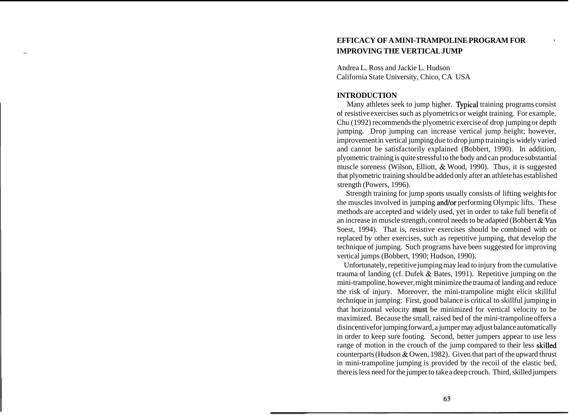# **EFFICACY OF A MINI-TRAMPOLINE PROGRAM FOR IDENT IMPROVING THE VERTICAL JUMP**

Andrea L. Ross and Jackie L. Hudson California State University, Chico, CA USA

#### **INTRODUCTION**

Many athletes seek to jump higher. Typical training programs consist of resistive exercises such as plyometrics or weight training. For example, Chu (1992) recommends the plyometric exercise of drop jumping or depth jumping. Drop jumping can increase vertical jump height; however, improvement in vertical jumping due to drop jump training is widely varied and cannot be satisfactorily explained (Bobbert, 1990). In addition, plyometric training is quite stressful to the body and can produce substantial muscle soreness (Wilson, Elliott, & Wood, 1990). Thus, it is suggested that plyometric training should be added only after an athlete has established strength (Powers, 1996).

Strength training for jump sports usually consists of lifting weights for the muscles involved in jumping and/or performing Olympic lifts. These methods are accepted and widely used, yet in order to take full benefit of an increase in muscle strength, control needs to be adapted (Bobbert & Van Soest, 1994). That is, resistive exercises should be combined with or replaced by other exercises, such as repetitive jumping, that develop the technique of jumping. Such programs have been suggested for improving vertical jumps (Bobbert, 1990; Hudson, 1990).

Unfortunately, repetitive jumping may lead to injury from the cumulative trauma of landing (cf. Dufek & Bates, 1991). Repetitive jumping on the mini-trampoline, however, might minimize the trauma of landing and reduce the risk of injury. Moreover, the mini-trampoline might elicit skillful technique in jumping: First, good balance is critical to skillful jumping in that horizontal velocity must be minimized for vertical velocity to be maximized. Because the small, raised bed of the mini-trampoline offers a disincentive for jumping forward, a jumper may adjust balance automatically in order to keep sure footing. Second, better jumpers appear to use less range of motion in the crouch of the jump compared to their less skilled counterparts (Hudson & Owen, 1982). Given that part of the upward thrust in mini-trampoline jumping is provided by the recoil of the elastic bed, there is less need for the jumper to take a deep crouch. Third, skilled jumpers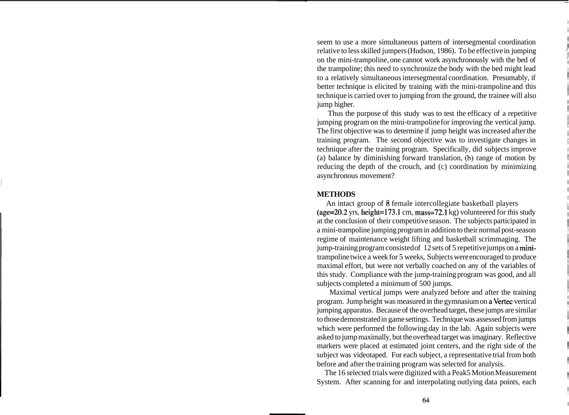seem to use a more simultaneous pattern of intersegmental coordination relative to less skilled jumpers (Hudson, 1986). To be effective in jumping on the mini-trampoline, one cannot work asynchronously with the bed of the trampoline; this need to synchronize the body with the bed might lead to a relatively simultaneous intersegmental coordination. Presumably, if better technique is elicited by training with the mini-trampoline and this technique is carried over to jumping from the ground, the trainee will also jump higher.

Thus the purpose of this study was to test the efficacy of a repetitive jumping program on the mini-trampoline for improving the vertical jump. The first objective was to determine if jump height was increased after the training program. The second objective was to investigate changes in technique after the training program. Specifically, did subjects improve (a) balance by diminishing forward translation,  $(b)$  range of motion by reducing the depth of the crouch, and (c) coordination by minimizing asynchronous movement?

#### **METHODS**

An intact group of **8** female intercollegiate basketball players (age=20.2 yrs, height=173.1 cm, mass=72.1 kg) volunteered for this study at the conclusion of their competitive season. The subjects participated in a mini-trampoline jumping program in addition to their normal post-season regime of maintenance weight lifting and basketball scrimmaging. The jump-training program consisted of 12 sets of 5 repetitive jumps on a minitrampoline twice a week for 5 weeks, Subjects were encouraged to produce maximal effort, but were not verbally coached on any of the variables of this study. Compliance with the jump-training program was good, and all subjects completed a minimum of 500 jumps.

Maximal vertical jumps were analyzed before and after the training program. Jump height was measured in the gymnasium on a Vertec vertical jumping apparatus. Because of the overhead target, these jumps are similar to those demonstrated in game settings. Technique was assessed from jumps which were performed the following day in the lab. Again subjects were asked to jump maximally, but the overhead target was imaginary. Reflective markers were placed at estimated joint centers, and the right side of the subject was videotaped. For each subject, a representative trial from both before and after the training program was selected for analysis.

The 16 selected trials were digitized with a Peak5 Motion Measurement System. After scanning for and interpolating outlying data points, each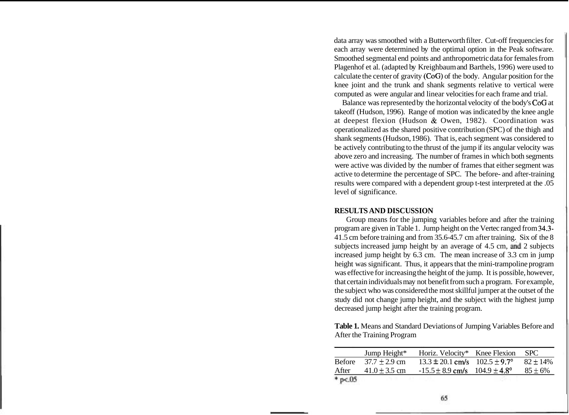data array was smoothed with a Butterworth filter. Cut-off frequencies for each array were determined by the optimal option in the Peak software. Smoothed segmental end points and anthropometric data for females from Plagenhof et al. (adapted by Kreighbaum and Barthels, 1996) were used to calculate the center of gravity (CoG) of the body. Angular position for the knee joint and the trunk and shank segments relative to vertical were computed as were angular and linear velocities for each frame and trial.

Balance was represented by the horizontal velocity of the body's COG at takeoff (Hudson, 1996). Range of motion was indicated by the knee angle at deepest flexion (Hudson & Owen, 1982). Coordination was operationalized as the shared positive contribution (SPC) of the thigh and shank segments (Hudson, 1986). That is, each segment was considered to be actively contributing to the thrust of the jump if its angular velocity was above zero and increasing. The number of frames in which both segments were active was divided by the number of frames that either segment was active to determine the percentage of SPC. The before- and after-training results were compared with a dependent group t-test interpreted at the .05 level of significance.

## **RESULTS AND DISCUSSION**

Group means for the jumping variables before and after the training program are given in Table 1. Jump height on the Vertec ranged from 34.3- 41.5 cm before training and from 35.6-45.7 cm after training. Six of the 8 subjects increased jump height by an average of  $4.5$  cm, and  $2$  subjects increased jump height by 6.3 cm. The mean increase of 3.3 cm in jump height was significant. Thus, it appears that the mini-trampoline program was effective for increasing the height of the jump. It is possible, however, that certain individuals may not benefit from such a program. For example, the subject who was considered the most skillful jumper at the outset of the study did not change jump height, and the subject with the highest jump decreased jump height after the training program.

| <b>Table 1.</b> Means and Standard Deviations of Jumping Variables Before and |
|-------------------------------------------------------------------------------|
| After the Training Program                                                    |

|              | Jump Height*      | Horiz. Velocity* Knee Flexion          | <b>SPC</b>    |
|--------------|-------------------|----------------------------------------|---------------|
| Before       | $37.7 + 2.9$ cm   | $13.3 \pm 20.1$ cm/s $102.5 \pm 9.7$ ° | $82 \pm 14\%$ |
| After        | $41.0 \pm 3.5$ cm | $-15.5 \pm 8.9$ cm/s $104.9 \pm 4.8$ ° | $85 \pm 6\%$  |
| $*$ p $< 05$ |                   |                                        |               |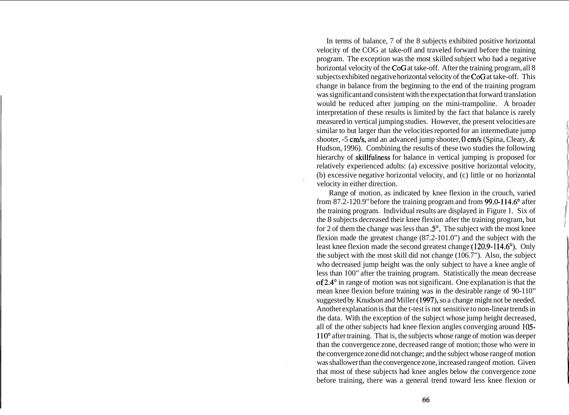In terms of balance, 7 of the 8 subjects exhibited positive horizontal velocity of the COG at take-off and traveled forward before the training program. The exception was the most skilled subject who had a negative horizontal velocity of the CoG at take-off. After the training program, all 8 subjects exhibited negative horizontal velocity of the CoG at take-off. This change in balance from the beginning to the end of the training program was significant and consistent with the expectation that forward translation would be reduced after jumping on the mini-trampoline. A broader interpretation of these results is limited by the fact that balance is rarely measured in vertical jumping studies. However, the present velocities are similar to but larger than the velocities reported for an intermediate jump shooter,  $-5$  cm/s, and an advanced jump shooter, 0 cm/s (Spina, Cleary,  $\&$ Hudson, 1996). Combining the results of these two studies the following hierarchy of skillfulness for balance in vertical jumping is proposed for relatively experienced adults: (a) excessive positive horizontal velocity, (b) excessive negative horizontal velocity, and (c) little or no horizontal velocity in either direction.

n.

Range of motion, as indicated by knee flexion in the crouch, varied from 87.2-120.9" before the training program and from 99.0-114.6" after the training program. Individual results are displayed in Figure 1. Six of the 8 subjects decreased their knee flexion after the training program, but for 2 of them the change was less than  $\mathfrak{S}^{\circ}$ . The subject with the most knee flexion made the greatest change (87.2-101.0") and the subject with the least knee flexion made the second greatest change (120.9-114.6'). Only the subject with the most skill did not change (106.7"). Also, the subject who decreased jump height was the only subject to have a knee angle of less than 100" after the training program. Statistically the mean decrease of 2.4" in range of motion was not significant. One explanation is that the mean knee flexion before training was in the desirable range of 90-110" suggested by Knudson and Miller (1997), so a change might not be needed. Another explanation is that the t-test is not sensitive to non-linear trends in the data. With the exception of the subject whose jump height decreased, all of the other subjects had knee flexion angles converging around 105- 110" after training. That is, the subjects whose range of motion was deeper than the convergence zone, decreased range of motion; those who were in the convergence zone did not change; and the subject whose range of motion was shallower than the convergence zone, increased range of motion. Given that most of these subjects had knee angles below the convergence zone before training, there was a general trend toward less knee flexion or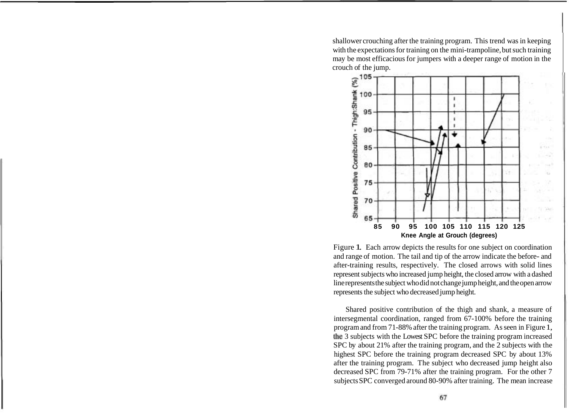shallower crouching after the training program. This trend was in keeping with the expectations for training on the mini-trampoline, but such training may be most efficacious for jumpers with a deeper range of motion in the crouch of the jump.



Figure 1. Each arrow depicts the results for one subject on coordination and range of motion. The tail and tip of the arrow indicate the before- and after-training results, respectively. The closed arrows with solid lines represent subjects who increased jump height, the closed arrow with a dashed line represents the subject who did not change jump height, and the open arrow represents the subject who decreased jump height.

Shared positive contribution of the thigh and shank, a measure of intersegmental coordination, ranged from 67-100% before the training program and from 71-88% after the training program. As seen in Figure 1, the 3 subjects with the Lowest SPC before the training program increased SPC by about 21% after the training program, and the 2 subjects with the highest SPC before the training program decreased SPC by about 13% after the training program. The subject who decreased jump height also decreased SPC from 79-71% after the training program. For the other 7 subjects SPC converged around 80-90% after training. The mean increase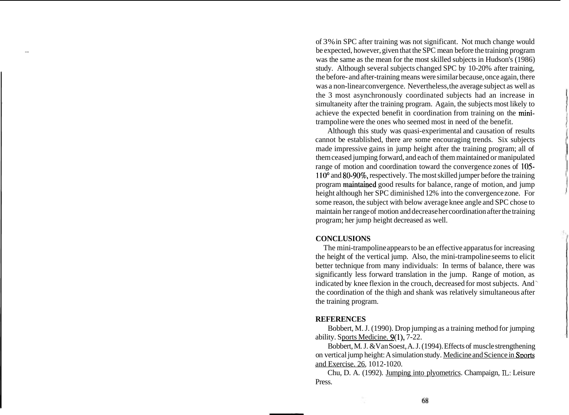of 3% in SPC after training was not significant. Not much change would be expected, however, given that the SPC mean before the training program was the same as the mean for the most skilled subjects in Hudson's (1986) study. Although several subjects changed SPC by 10-20% after training, the before- and after-training means were similar because, once again, there was a non-linear convergence. Nevertheless, the average subject as well as the 3 most asynchronously coordinated subjects had an increase in simultaneity after the training program. Again, the subjects most likely to achieve the expected benefit in coordination from training on the minitrampoline were the ones who seemed most in need of the benefit.

Although this study was quasi-experimental and causation of results cannot be established, there are some encouraging trends. Six subjects made impressive gains in jump height after the training program; all of them ceased jumping forward, and each of them maintained or manipulated range of motion and coordination toward the convergence zones of 105- 110" and 80-90%, respectively. The most skilled jumper before the training program maintained good results for balance, range of motion, and jump height although her SPC diminished 12% into the convergence zone. For some reason, the subject with below average knee angle and SPC chose to maintain her range of motion and decrease her coordination after the training program; her jump height decreased as well.

### **CONCLUSIONS**

The mini-trampoline appears to be an effective apparatus for increasing the height of the vertical jump. Also, the mini-trampoline seems to elicit better technique from many individuals: In terms of balance, there was significantly less forward translation in the jump. Range of motion, as indicated by knee flexion in the crouch, decreased for most subjects. And ' the coordination of the thigh and shank was relatively simultaneous after the training program.

### **REFERENCES**

Bobbert, M. J. (1990). Drop jumping as a training method for jumping ability. Sports Medicine. 9(1), 7-22.

Bobbert, M. J. &Van Soest, A. J. (1994). Effects of muscle strengthening on vertical jump height: A simulation study. Medicine and Science in Sports and Exercise. 26, 1012- 1020.

Chu, D. A. (1992). Jumping into plyometrics. Champaign, **IL:** Leisure Press.